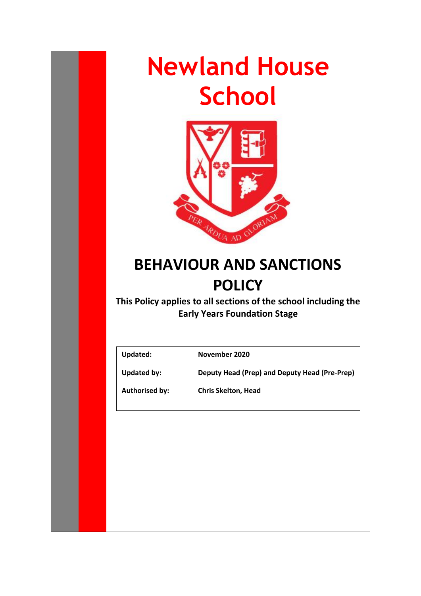# **Newland House School**



# **BEHAVIOUR AND SANCTIONS POLICY**

**This Policy applies to all sections of the school including the Early Years Foundation Stage**

**Updated: November 2020**

**Updated by: Deputy Head (Prep) and Deputy Head (Pre-Prep)**

**Authorised by: Chris Skelton, Head**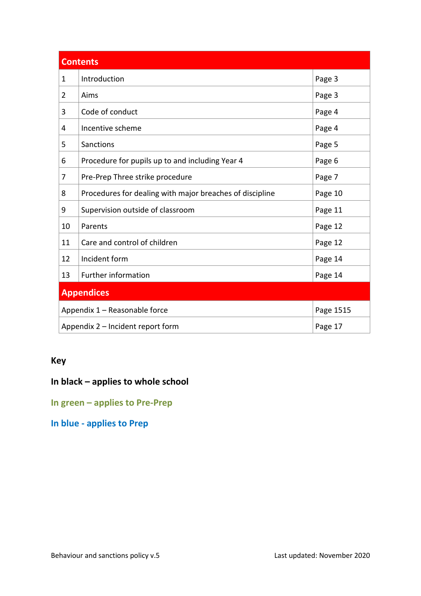| <b>Contents</b>   |                                                          |         |  |
|-------------------|----------------------------------------------------------|---------|--|
| $\mathbf{1}$      | Introduction                                             | Page 3  |  |
| 2                 | Aims                                                     | Page 3  |  |
| 3                 | Code of conduct                                          | Page 4  |  |
| 4                 | Incentive scheme                                         | Page 4  |  |
| 5                 | Sanctions                                                | Page 5  |  |
| 6                 | Procedure for pupils up to and including Year 4          | Page 6  |  |
| 7                 | Pre-Prep Three strike procedure                          | Page 7  |  |
| 8                 | Procedures for dealing with major breaches of discipline | Page 10 |  |
| 9                 | Supervision outside of classroom                         | Page 11 |  |
| 10                | Parents                                                  | Page 12 |  |
| 11                | Care and control of children                             | Page 12 |  |
| 12                | Incident form                                            | Page 14 |  |
| 13                | <b>Further information</b>                               | Page 14 |  |
| <b>Appendices</b> |                                                          |         |  |
|                   | Appendix 1 - Reasonable force<br>Page 1515               |         |  |
|                   | Appendix 2 - Incident report form<br>Page 17             |         |  |

# **Key**

# **In black – applies to whole school**

**In green – applies to Pre-Prep**

**In blue - applies to Prep**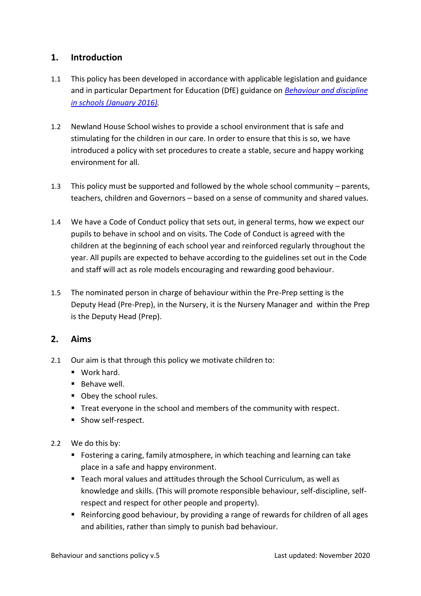# <span id="page-2-0"></span>**1. Introduction**

- 1.1 This policy has been developed in accordance with applicable legislation and guidance and in particular Department for Education (DfE) guidance on *[Behaviour and discipline](https://www.gov.uk/government/publications/behaviour-and-discipline-in-schools)  in schools [\(January 2016\).](https://www.gov.uk/government/publications/behaviour-and-discipline-in-schools)*
- 1.2 Newland House School wishes to provide a school environment that is safe and stimulating for the children in our care. In order to ensure that this is so, we have introduced a policy with set procedures to create a stable, secure and happy working environment for all.
- 1.3 This policy must be supported and followed by the whole school community parents, teachers, children and Governors – based on a sense of community and shared values.
- 1.4 We have a Code of Conduct policy that sets out, in general terms, how we expect our pupils to behave in school and on visits. The Code of Conduct is agreed with the children at the beginning of each school year and reinforced regularly throughout the year. All pupils are expected to behave according to the guidelines set out in the Code and staff will act as role models encouraging and rewarding good behaviour.
- 1.5 The nominated person in charge of behaviour within the Pre-Prep setting is the Deputy Head (Pre-Prep), in the Nursery, it is the Nursery Manager and within the Prep is the Deputy Head (Prep).

## <span id="page-2-1"></span>**2. Aims**

- 2.1 Our aim is that through this policy we motivate children to:
	- Work hard.
	- Behave well.
	- Obey the school rules.
	- Treat everyone in the school and members of the community with respect.
	- Show self-respect.
- 2.2 We do this by:
	- Fostering a caring, family atmosphere, in which teaching and learning can take place in a safe and happy environment.
	- Teach moral values and attitudes through the School Curriculum, as well as knowledge and skills. (This will promote responsible behaviour, self-discipline, selfrespect and respect for other people and property).
	- Reinforcing good behaviour, by providing a range of rewards for children of all ages and abilities, rather than simply to punish bad behaviour.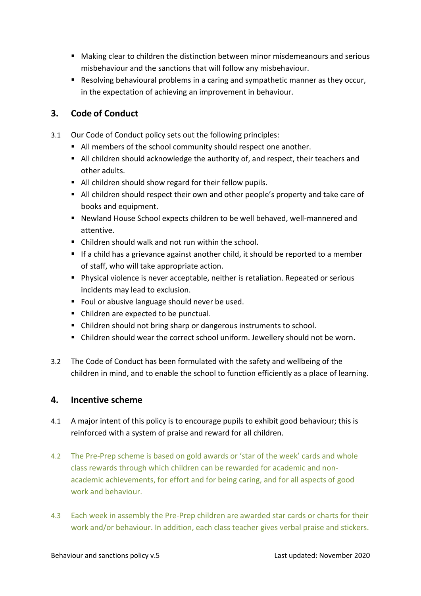- Making clear to children the distinction between minor misdemeanours and serious misbehaviour and the sanctions that will follow any misbehaviour.
- Resolving behavioural problems in a caring and sympathetic manner as they occur, in the expectation of achieving an improvement in behaviour.

# <span id="page-3-0"></span>**3. Code of Conduct**

- 3.1 Our Code of Conduct policy sets out the following principles:
	- All members of the school community should respect one another.
	- All children should acknowledge the authority of, and respect, their teachers and other adults.
	- All children should show regard for their fellow pupils.
	- All children should respect their own and other people's property and take care of books and equipment.
	- Newland House School expects children to be well behaved, well-mannered and attentive.
	- Children should walk and not run within the school.
	- If a child has a grievance against another child, it should be reported to a member of staff, who will take appropriate action.
	- Physical violence is never acceptable, neither is retaliation. Repeated or serious incidents may lead to exclusion.
	- Foul or abusive language should never be used.
	- Children are expected to be punctual.
	- Children should not bring sharp or dangerous instruments to school.
	- Children should wear the correct school uniform. Jewellery should not be worn.
- 3.2 The Code of Conduct has been formulated with the safety and wellbeing of the children in mind, and to enable the school to function efficiently as a place of learning.

## <span id="page-3-1"></span>**4. Incentive scheme**

- 4.1 A major intent of this policy is to encourage pupils to exhibit good behaviour; this is reinforced with a system of praise and reward for all children.
- 4.2 The Pre-Prep scheme is based on gold awards or 'star of the week' cards and whole class rewards through which children can be rewarded for academic and nonacademic achievements, for effort and for being caring, and for all aspects of good work and behaviour.
- 4.3 Each week in assembly the Pre-Prep children are awarded star cards or charts for their work and/or behaviour. In addition, each class teacher gives verbal praise and stickers.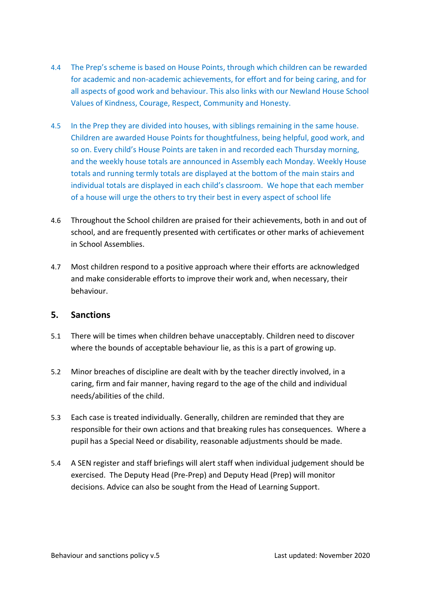- 4.4 The Prep's scheme is based on House Points, through which children can be rewarded for academic and non-academic achievements, for effort and for being caring, and for all aspects of good work and behaviour. This also links with our Newland House School Values of Kindness, Courage, Respect, Community and Honesty.
- 4.5 In the Prep they are divided into houses, with siblings remaining in the same house. Children are awarded House Points for thoughtfulness, being helpful, good work, and so on. Every child's House Points are taken in and recorded each Thursday morning, and the weekly house totals are announced in Assembly each Monday. Weekly House totals and running termly totals are displayed at the bottom of the main stairs and individual totals are displayed in each child's classroom. We hope that each member of a house will urge the others to try their best in every aspect of school life
- 4.6 Throughout the School children are praised for their achievements, both in and out of school, and are frequently presented with certificates or other marks of achievement in School Assemblies.
- 4.7 Most children respond to a positive approach where their efforts are acknowledged and make considerable efforts to improve their work and, when necessary, their behaviour.

## <span id="page-4-0"></span>**5. Sanctions**

- 5.1 There will be times when children behave unacceptably. Children need to discover where the bounds of acceptable behaviour lie, as this is a part of growing up.
- 5.2 Minor breaches of discipline are dealt with by the teacher directly involved, in a caring, firm and fair manner, having regard to the age of the child and individual needs/abilities of the child.
- 5.3 Each case is treated individually. Generally, children are reminded that they are responsible for their own actions and that breaking rules has consequences. Where a pupil has a Special Need or disability, reasonable adjustments should be made.
- 5.4 A SEN register and staff briefings will alert staff when individual judgement should be exercised. The Deputy Head (Pre-Prep) and Deputy Head (Prep) will monitor decisions. Advice can also be sought from the Head of Learning Support.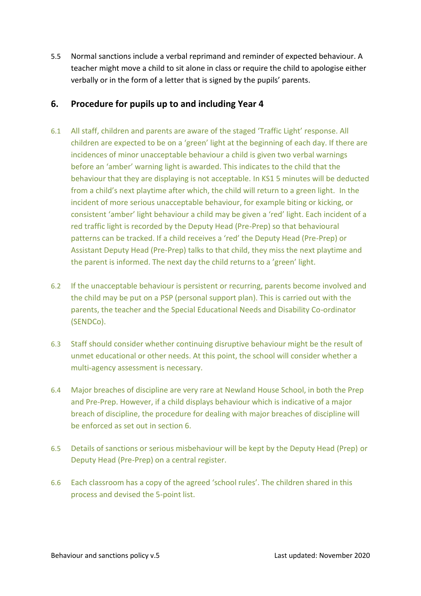5.5 Normal sanctions include a verbal reprimand and reminder of expected behaviour. A teacher might move a child to sit alone in class or require the child to apologise either verbally or in the form of a letter that is signed by the pupils' parents.

# <span id="page-5-0"></span>**6. Procedure for pupils up to and including Year 4**

- 6.1 All staff, children and parents are aware of the staged 'Traffic Light' response. All children are expected to be on a 'green' light at the beginning of each day. If there are incidences of minor unacceptable behaviour a child is given two verbal warnings before an 'amber' warning light is awarded. This indicates to the child that the behaviour that they are displaying is not acceptable. In KS1 5 minutes will be deducted from a child's next playtime after which, the child will return to a green light. In the incident of more serious unacceptable behaviour, for example biting or kicking, or consistent 'amber' light behaviour a child may be given a 'red' light. Each incident of a red traffic light is recorded by the Deputy Head (Pre-Prep) so that behavioural patterns can be tracked. If a child receives a 'red' the Deputy Head (Pre-Prep) or Assistant Deputy Head (Pre-Prep) talks to that child, they miss the next playtime and the parent is informed. The next day the child returns to a 'green' light.
- 6.2 If the unacceptable behaviour is persistent or recurring, parents become involved and the child may be put on a PSP (personal support plan). This is carried out with the parents, the teacher and the Special Educational Needs and Disability Co-ordinator (SENDCo).
- 6.3 Staff should consider whether continuing disruptive behaviour might be the result of unmet educational or other needs. At this point, the school will consider whether a multi-agency assessment is necessary.
- 6.4 Major breaches of discipline are very rare at Newland House School, in both the Prep and Pre-Prep. However, if a child displays behaviour which is indicative of a major breach of discipline, the procedure for dealing with major breaches of discipline will be enforced as set out in section 6.
- 6.5 Details of sanctions or serious misbehaviour will be kept by the Deputy Head (Prep) or Deputy Head (Pre-Prep) on a central register.
- 6.6 Each classroom has a copy of the agreed 'school rules'. The children shared in this process and devised the 5-point list.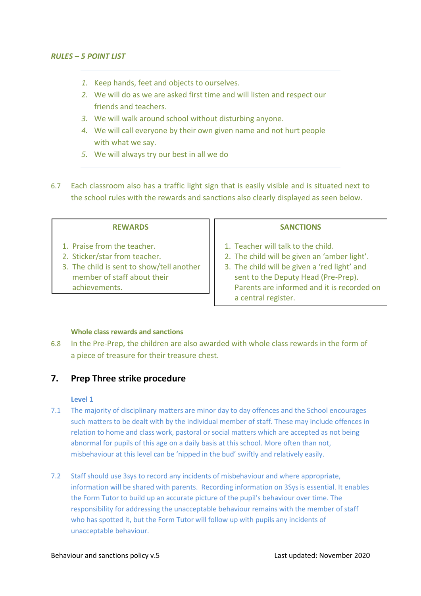- *1.* Keep hands, feet and objects to ourselves.
- *2.* We will do as we are asked first time and will listen and respect our friends and teachers.
- *3.* We will walk around school without disturbing anyone.
- *4.* We will call everyone by their own given name and not hurt people with what we say.
- *5.* We will always try our best in all we do
- 6.7 Each classroom also has a traffic light sign that is easily visible and is situated next to the school rules with the rewards and sanctions also clearly displayed as seen below.

- 1. Praise from the teacher.
- 2. Sticker/star from teacher.
- 3. The child is sent to show/tell another member of staff about their achievements.

#### **SANCTIONS**

- 1. Teacher will talk to the child.
- 2. The child will be given an 'amber light'.
- 3. The child will be given a 'red light' and sent to the Deputy Head (Pre-Prep). Parents are informed and it is recorded on a central register.

#### **Whole class rewards and sanctions**

6.8 In the Pre-Prep, the children are also awarded with whole class rewards in the form of a piece of treasure for their treasure chest.

#### <span id="page-6-0"></span>**7. Prep Three strike procedure**

#### **Level 1**

- 7.1 The majority of disciplinary matters are minor day to day offences and the School encourages such matters to be dealt with by the individual member of staff. These may include offences in relation to home and class work, pastoral or social matters which are accepted as not being abnormal for pupils of this age on a daily basis at this school. More often than not, misbehaviour at this level can be 'nipped in the bud' swiftly and relatively easily.
- 7.2 Staff should use 3sys to record any incidents of misbehaviour and where appropriate, information will be shared with parents. Recording information on 3Sys is essential. It enables the Form Tutor to build up an accurate picture of the pupil's behaviour over time. The responsibility for addressing the unacceptable behaviour remains with the member of staff who has spotted it, but the Form Tutor will follow up with pupils any incidents of unacceptable behaviour.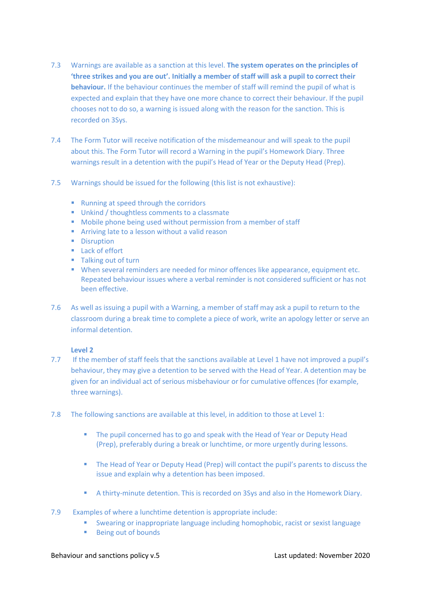- 7.3 Warnings are available as a sanction at this level. **The system operates on the principles of 'three strikes and you are out'. Initially a member of staff will ask a pupil to correct their behaviour.** If the behaviour continues the member of staff will remind the pupil of what is expected and explain that they have one more chance to correct their behaviour. If the pupil chooses not to do so, a warning is issued along with the reason for the sanction. This is recorded on 3Sys.
- 7.4 The Form Tutor will receive notification of the misdemeanour and will speak to the pupil about this. The Form Tutor will record a Warning in the pupil's Homework Diary. Three warnings result in a detention with the pupil's Head of Year or the Deputy Head (Prep).
- 7.5 Warnings should be issued for the following (this list is not exhaustive):
	- Running at speed through the corridors
	- Unkind / thoughtless comments to a classmate
	- Mobile phone being used without permission from a member of staff
	- Arriving late to a lesson without a valid reason
	- Disruption
	- Lack of effort
	- Talking out of turn
	- When several reminders are needed for minor offences like appearance, equipment etc. Repeated behaviour issues where a verbal reminder is not considered sufficient or has not been effective.
- 7.6 As well as issuing a pupil with a Warning, a member of staff may ask a pupil to return to the classroom during a break time to complete a piece of work, write an apology letter or serve an informal detention.

#### **Level 2**

- 7.7 If the member of staff feels that the sanctions available at Level 1 have not improved a pupil's behaviour, they may give a detention to be served with the Head of Year. A detention may be given for an individual act of serious misbehaviour or for cumulative offences (for example, three warnings).
- 7.8 The following sanctions are available at this level, in addition to those at Level 1:
	- **The pupil concerned has to go and speak with the Head of Year or Deputy Head** (Prep), preferably during a break or lunchtime, or more urgently during lessons.
	- The Head of Year or Deputy Head (Prep) will contact the pupil's parents to discuss the issue and explain why a detention has been imposed.
	- A thirty-minute detention. This is recorded on 3Sys and also in the Homework Diary.
- 7.9 Examples of where a lunchtime detention is appropriate include:
	- Swearing or inappropriate language including homophobic, racist or sexist language
	- Being out of bounds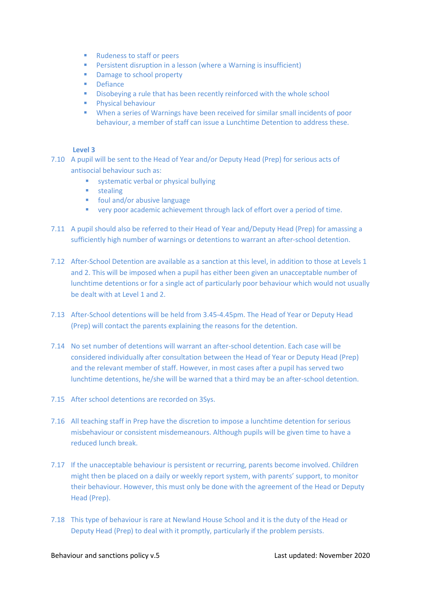- Rudeness to staff or peers
- Persistent disruption in a lesson (where a Warning is insufficient)
- Damage to school property
- Defiance
- Disobeying a rule that has been recently reinforced with the whole school
- Physical behaviour
- When a series of Warnings have been received for similar small incidents of poor behaviour, a member of staff can issue a Lunchtime Detention to address these.

#### **Level 3**

- 7.10 A pupil will be sent to the Head of Year and/or Deputy Head (Prep) for serious acts of antisocial behaviour such as:
	- systematic verbal or physical bullying
	- stealing
	- foul and/or abusive language
	- very poor academic achievement through lack of effort over a period of time.
- 7.11 A pupil should also be referred to their Head of Year and/Deputy Head (Prep) for amassing a sufficiently high number of warnings or detentions to warrant an after-school detention.
- 7.12 After-School Detention are available as a sanction at this level, in addition to those at Levels 1 and 2. This will be imposed when a pupil has either been given an unacceptable number of lunchtime detentions or for a single act of particularly poor behaviour which would not usually be dealt with at Level 1 and 2.
- 7.13 After-School detentions will be held from 3.45-4.45pm. The Head of Year or Deputy Head (Prep) will contact the parents explaining the reasons for the detention.
- 7.14 No set number of detentions will warrant an after-school detention. Each case will be considered individually after consultation between the Head of Year or Deputy Head (Prep) and the relevant member of staff. However, in most cases after a pupil has served two lunchtime detentions, he/she will be warned that a third may be an after-school detention.
- 7.15 After school detentions are recorded on 3Sys.
- 7.16 All teaching staff in Prep have the discretion to impose a lunchtime detention for serious misbehaviour or consistent misdemeanours. Although pupils will be given time to have a reduced lunch break.
- 7.17 If the unacceptable behaviour is persistent or recurring, parents become involved. Children might then be placed on a daily or weekly report system, with parents' support, to monitor their behaviour. However, this must only be done with the agreement of the Head or Deputy Head (Prep).
- 7.18 This type of behaviour is rare at Newland House School and it is the duty of the Head or Deputy Head (Prep) to deal with it promptly, particularly if the problem persists.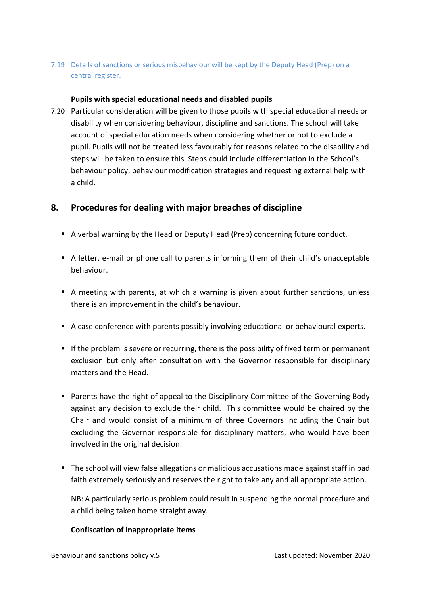#### 7.19 Details of sanctions or serious misbehaviour will be kept by the Deputy Head (Prep) on a central register.

#### **Pupils with special educational needs and disabled pupils**

7.20 Particular consideration will be given to those pupils with special educational needs or disability when considering behaviour, discipline and sanctions. The school will take account of special education needs when considering whether or not to exclude a pupil. Pupils will not be treated less favourably for reasons related to the disability and steps will be taken to ensure this. Steps could include differentiation in the School's behaviour policy, behaviour modification strategies and requesting external help with a child.

## <span id="page-9-0"></span>**8. Procedures for dealing with major breaches of discipline**

- A verbal warning by the Head or Deputy Head (Prep) concerning future conduct.
- A letter, e-mail or phone call to parents informing them of their child's unacceptable behaviour.
- A meeting with parents, at which a warning is given about further sanctions, unless there is an improvement in the child's behaviour.
- A case conference with parents possibly involving educational or behavioural experts.
- If the problem is severe or recurring, there is the possibility of fixed term or permanent exclusion but only after consultation with the Governor responsible for disciplinary matters and the Head.
- Parents have the right of appeal to the Disciplinary Committee of the Governing Body against any decision to exclude their child. This committee would be chaired by the Chair and would consist of a minimum of three Governors including the Chair but excluding the Governor responsible for disciplinary matters, who would have been involved in the original decision.
- The school will view false allegations or malicious accusations made against staff in bad faith extremely seriously and reserves the right to take any and all appropriate action.

NB: A particularly serious problem could result in suspending the normal procedure and a child being taken home straight away.

#### **Confiscation of inappropriate items**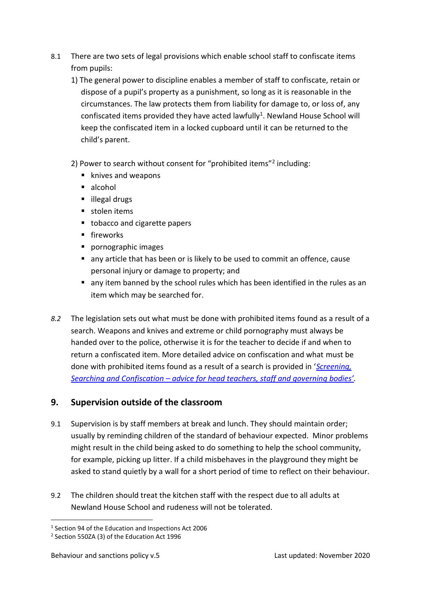- 8.1 There are two sets of legal provisions which enable school staff to confiscate items from pupils:
	- 1) The general power to discipline enables a member of staff to confiscate, retain or dispose of a pupil's property as a punishment, so long as it is reasonable in the circumstances. The law protects them from liability for damage to, or loss of, any confiscated items provided they have acted lawfully<sup>1</sup>. Newland House School will keep the confiscated item in a locked cupboard until it can be returned to the child's parent.
	- 2) Power to search without consent for "prohibited items"<sup>2</sup> including:
		- knives and weapons
		- alcohol
		- illegal drugs
		- stolen items
		- tobacco and cigarette papers
		- **■** fireworks
		- pornographic images
		- any article that has been or is likely to be used to commit an offence, cause personal injury or damage to property; and
		- any item banned by the school rules which has been identified in the rules as an item which may be searched for.
- *8.2* The legislation sets out what must be done with prohibited items found as a result of a search. Weapons and knives and extreme or child pornography must always be handed over to the police, otherwise it is for the teacher to decide if and when to return a confiscated item. More detailed advice on confiscation and what must be done with prohibited items found as a result of a search is provided in '*[Screening,](https://www.gov.uk/government/publications/searching-screening-and-confiscation)  Searching and Confiscation – [advice for head teachers, staff and gov](https://www.gov.uk/government/publications/searching-screening-and-confiscation)erning bodies'.*

# <span id="page-10-0"></span>**9. Supervision outside of the classroom**

- 9.1 Supervision is by staff members at break and lunch. They should maintain order; usually by reminding children of the standard of behaviour expected. Minor problems might result in the child being asked to do something to help the school community, for example, picking up litter. If a child misbehaves in the playground they might be asked to stand quietly by a wall for a short period of time to reflect on their behaviour.
- 9.2 The children should treat the kitchen staff with the respect due to all adults at Newland House School and rudeness will not be tolerated.

<sup>1</sup> Section 94 of the Education and Inspections Act 2006

<sup>2</sup> Section 550ZA (3) of the Education Act 1996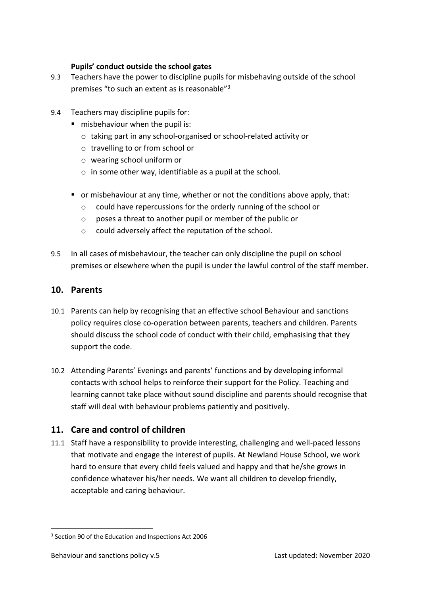#### **Pupils' conduct outside the school gates**

- 9.3 Teachers have the power to discipline pupils for misbehaving outside of the school premises "to such an extent as is reasonable"<sup>3</sup>
- 9.4 Teachers may discipline pupils for:
	- misbehaviour when the pupil is:
		- o taking part in any school-organised or school-related activity or
		- o travelling to or from school or
		- o wearing school uniform or
		- $\circ$  in some other way, identifiable as a pupil at the school.
	- or misbehaviour at any time, whether or not the conditions above apply, that:
		- o could have repercussions for the orderly running of the school or
		- o poses a threat to another pupil or member of the public or
		- o could adversely affect the reputation of the school.
- 9.5 In all cases of misbehaviour, the teacher can only discipline the pupil on school premises or elsewhere when the pupil is under the lawful control of the staff member.

## <span id="page-11-0"></span>**10. Parents**

- 10.1 Parents can help by recognising that an effective school Behaviour and sanctions policy requires close co-operation between parents, teachers and children. Parents should discuss the school code of conduct with their child, emphasising that they support the code.
- 10.2 Attending Parents' Evenings and parents' functions and by developing informal contacts with school helps to reinforce their support for the Policy. Teaching and learning cannot take place without sound discipline and parents should recognise that staff will deal with behaviour problems patiently and positively.

# <span id="page-11-1"></span>**11. Care and control of children**

11.1 Staff have a responsibility to provide interesting, challenging and well-paced lessons that motivate and engage the interest of pupils. At Newland House School, we work hard to ensure that every child feels valued and happy and that he/she grows in confidence whatever his/her needs. We want all children to develop friendly, acceptable and caring behaviour.

<sup>&</sup>lt;sup>3</sup> Section 90 of the Education and Inspections Act 2006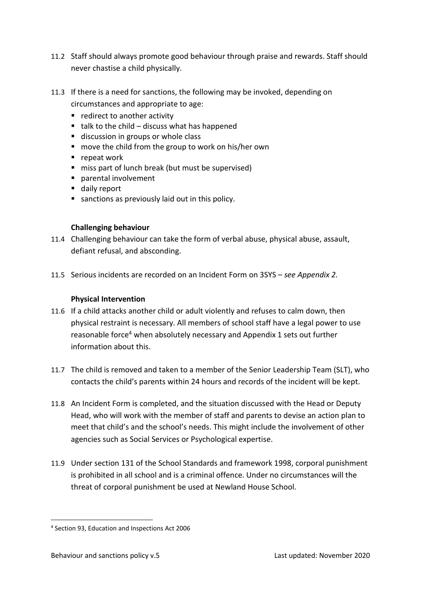- 11.2 Staff should always promote good behaviour through praise and rewards. Staff should never chastise a child physically.
- 11.3 If there is a need for sanctions, the following may be invoked, depending on circumstances and appropriate to age:
	- redirect to another activity
	- $\blacksquare$  talk to the child discuss what has happened
	- discussion in groups or whole class
	- move the child from the group to work on his/her own
	- repeat work
	- miss part of lunch break (but must be supervised)
	- parental involvement
	- daily report
	- sanctions as previously laid out in this policy.

#### **Challenging behaviour**

- 11.4 Challenging behaviour can take the form of verbal abuse, physical abuse, assault, defiant refusal, and absconding.
- 11.5 Serious incidents are recorded on an Incident Form on 3SYS *see Appendix 2.*

#### <span id="page-12-0"></span>**Physical Intervention**

- 11.6 If a child attacks another child or adult violently and refuses to calm down, then physical restraint is necessary. All members of school staff have a legal power to use reasonable force<sup>4</sup> when absolutely necessary and Appendix 1 sets out further information about this.
- 11.7 The child is removed and taken to a member of the Senior Leadership Team (SLT), who contacts the child's parents within 24 hours and records of the incident will be kept.
- 11.8 An Incident Form is completed, and the situation discussed with the Head or Deputy Head, who will work with the member of staff and parents to devise an action plan to meet that child's and the school's needs. This might include the involvement of other agencies such as Social Services or Psychological expertise.
- 11.9 Under section 131 of the School Standards and framework 1998, corporal punishment is prohibited in all school and is a criminal offence. Under no circumstances will the threat of corporal punishment be used at Newland House School.

<sup>4</sup> Section 93, Education and Inspections Act 2006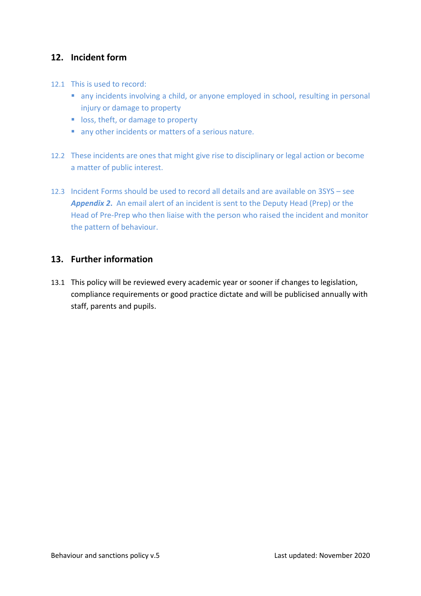# <span id="page-13-0"></span>**12. Incident form**

- 12.1 This is used to record:
	- any incidents involving a child, or anyone employed in school, resulting in personal injury or damage to property
	- loss, theft, or damage to property
	- any other incidents or matters of a serious nature.
- 12.2 These incidents are ones that might give rise to disciplinary or legal action or become a matter of public interest.
- 12.3 Incident Forms should be used to record all details and are available on 3SYS see *Appendix 2***.** An email alert of an incident is sent to the Deputy Head (Prep) or the Head of Pre-Prep who then liaise with the person who raised the incident and monitor the pattern of behaviour.

#### <span id="page-13-1"></span>**13. Further information**

13.1 This policy will be reviewed every academic year or sooner if changes to legislation, compliance requirements or good practice dictate and will be publicised annually with staff, parents and pupils.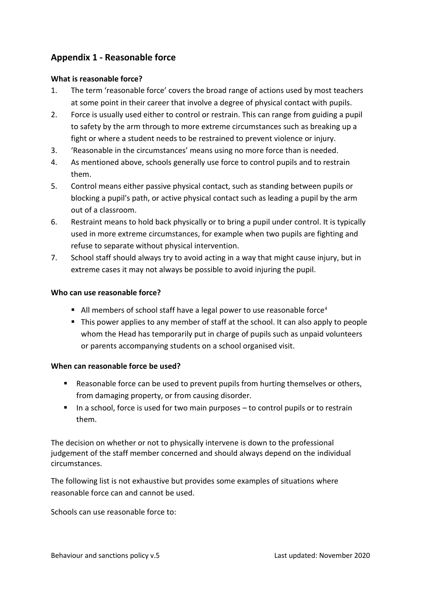# <span id="page-14-0"></span>**Appendix 1 - Reasonable force**

#### **What is reasonable force?**

- 1. The term 'reasonable force' covers the broad range of actions used by most teachers at some point in their career that involve a degree of physical contact with pupils.
- 2. Force is usually used either to control or restrain. This can range from guiding a pupil to safety by the arm through to more extreme circumstances such as breaking up a fight or where a student needs to be restrained to prevent violence or injury.
- 3. 'Reasonable in the circumstances' means using no more force than is needed.
- 4. As mentioned above, schools generally use force to control pupils and to restrain them.
- 5. Control means either passive physical contact, such as standing between pupils or blocking a pupil's path, or active physical contact such as leading a pupil by the arm out of a classroom.
- 6. Restraint means to hold back physically or to bring a pupil under control. It is typically used in more extreme circumstances, for example when two pupils are fighting and refuse to separate without physical intervention.
- 7. School staff should always try to avoid acting in a way that might cause injury, but in extreme cases it may not always be possible to avoid injuring the pupil.

#### **Who can use reasonable force?**

- All members of school staff have a legal power to use reasonable force<sup>[4](#page-12-0)</sup>
- This power applies to any member of staff at the school. It can also apply to people whom the Head has temporarily put in charge of pupils such as unpaid volunteers or parents accompanying students on a school organised visit.

#### **When can reasonable force be used?**

- Reasonable force can be used to prevent pupils from hurting themselves or others, from damaging property, or from causing disorder.
- In a school, force is used for two main purposes to control pupils or to restrain them.

The decision on whether or not to physically intervene is down to the professional judgement of the staff member concerned and should always depend on the individual circumstances.

The following list is not exhaustive but provides some examples of situations where reasonable force can and cannot be used.

Schools can use reasonable force to: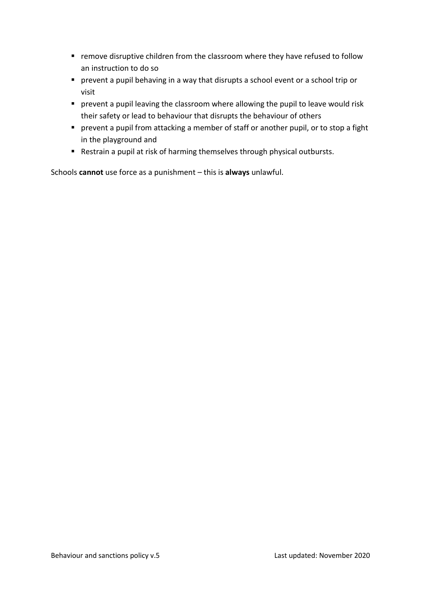- remove disruptive children from the classroom where they have refused to follow an instruction to do so
- prevent a pupil behaving in a way that disrupts a school event or a school trip or visit
- **E** prevent a pupil leaving the classroom where allowing the pupil to leave would risk their safety or lead to behaviour that disrupts the behaviour of others
- **E** prevent a pupil from attacking a member of staff or another pupil, or to stop a fight in the playground and
- Restrain a pupil at risk of harming themselves through physical outbursts.

Schools **cannot** use force as a punishment – this is **always** unlawful.